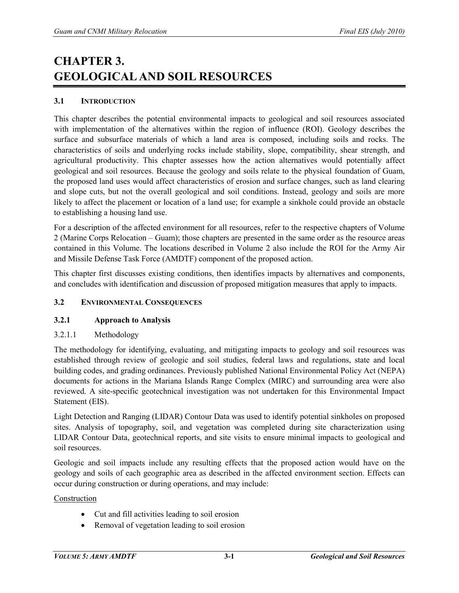# **CHAPTER 3. GEOLOGICAL AND SOIL RESOURCES**

# **3.1 INTRODUCTION**

This chapter describes the potential environmental impacts to geological and soil resources associated with implementation of the alternatives within the region of influence (ROI). Geology describes the surface and subsurface materials of which a land area is composed, including soils and rocks. The characteristics of soils and underlying rocks include stability, slope, compatibility, shear strength, and agricultural productivity. This chapter assesses how the action alternatives would potentially affect geological and soil resources. Because the geology and soils relate to the physical foundation of Guam, the proposed land uses would affect characteristics of erosion and surface changes, such as land clearing and slope cuts, but not the overall geological and soil conditions. Instead, geology and soils are more likely to affect the placement or location of a land use; for example a sinkhole could provide an obstacle to establishing a housing land use.

For a description of the affected environment for all resources, refer to the respective chapters of Volume 2 (Marine Corps Relocation – Guam); those chapters are presented in the same order as the resource areas contained in this Volume. The locations described in Volume 2 also include the ROI for the Army Air and Missile Defense Task Force (AMDTF) component of the proposed action.

This chapter first discusses existing conditions, then identifies impacts by alternatives and components, and concludes with identification and discussion of proposed mitigation measures that apply to impacts.

#### **3.2 ENVIRONMENTAL CONSEQUENCES**

#### **3.2.1 Approach to Analysis**

3.2.1.1 Methodology

The methodology for identifying, evaluating, and mitigating impacts to geology and soil resources was established through review of geologic and soil studies, federal laws and regulations, state and local building codes, and grading ordinances. Previously published National Environmental Policy Act (NEPA) documents for actions in the Mariana Islands Range Complex (MIRC) and surrounding area were also reviewed. A site-specific geotechnical investigation was not undertaken for this Environmental Impact Statement (EIS).

Light Detection and Ranging (LIDAR) Contour Data was used to identify potential sinkholes on proposed sites. Analysis of topography, soil, and vegetation was completed during site characterization using LIDAR Contour Data, geotechnical reports, and site visits to ensure minimal impacts to geological and soil resources.

Geologic and soil impacts include any resulting effects that the proposed action would have on the geology and soils of each geographic area as described in the affected environment section. Effects can occur during construction or during operations, and may include:

Construction

- Cut and fill activities leading to soil erosion
- Removal of vegetation leading to soil erosion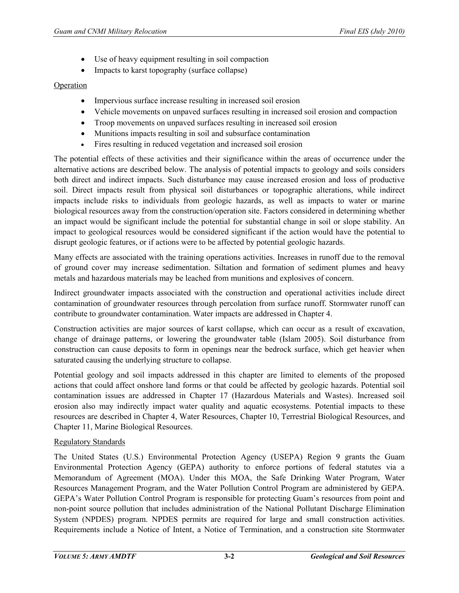- Use of heavy equipment resulting in soil compaction
- Impacts to karst topography (surface collapse)

#### Operation

- Impervious surface increase resulting in increased soil erosion
- Vehicle movements on unpaved surfaces resulting in increased soil erosion and compaction
- Troop movements on unpaved surfaces resulting in increased soil erosion
- Munitions impacts resulting in soil and subsurface contamination
- Fires resulting in reduced vegetation and increased soil erosion

The potential effects of these activities and their significance within the areas of occurrence under the alternative actions are described below. The analysis of potential impacts to geology and soils considers both direct and indirect impacts. Such disturbance may cause increased erosion and loss of productive soil. Direct impacts result from physical soil disturbances or topographic alterations, while indirect impacts include risks to individuals from geologic hazards, as well as impacts to water or marine biological resources away from the construction/operation site. Factors considered in determining whether an impact would be significant include the potential for substantial change in soil or slope stability. An impact to geological resources would be considered significant if the action would have the potential to disrupt geologic features, or if actions were to be affected by potential geologic hazards.

Many effects are associated with the training operations activities. Increases in runoff due to the removal of ground cover may increase sedimentation. Siltation and formation of sediment plumes and heavy metals and hazardous materials may be leached from munitions and explosives of concern.

Indirect groundwater impacts associated with the construction and operational activities include direct contamination of groundwater resources through percolation from surface runoff. Stormwater runoff can contribute to groundwater contamination. Water impacts are addressed in Chapter 4.

Construction activities are major sources of karst collapse, which can occur as a result of excavation, change of drainage patterns, or lowering the groundwater table (Islam 2005). Soil disturbance from construction can cause deposits to form in openings near the bedrock surface, which get heavier when saturated causing the underlying structure to collapse.

Potential geology and soil impacts addressed in this chapter are limited to elements of the proposed actions that could affect onshore land forms or that could be affected by geologic hazards. Potential soil contamination issues are addressed in Chapter 17 (Hazardous Materials and Wastes). Increased soil erosion also may indirectly impact water quality and aquatic ecosystems. Potential impacts to these resources are described in Chapter 4, Water Resources, Chapter 10, Terrestrial Biological Resources, and Chapter 11, Marine Biological Resources.

# Regulatory Standards

The United States (U.S.) Environmental Protection Agency (USEPA) Region 9 grants the Guam Environmental Protection Agency (GEPA) authority to enforce portions of federal statutes via a Memorandum of Agreement (MOA). Under this MOA, the Safe Drinking Water Program, Water Resources Management Program, and the Water Pollution Control Program are administered by GEPA. GEPA's Water Pollution Control Program is responsible for protecting Guam's resources from point and non-point source pollution that includes administration of the National Pollutant Discharge Elimination System (NPDES) program. NPDES permits are required for large and small construction activities. Requirements include a Notice of Intent, a Notice of Termination, and a construction site Stormwater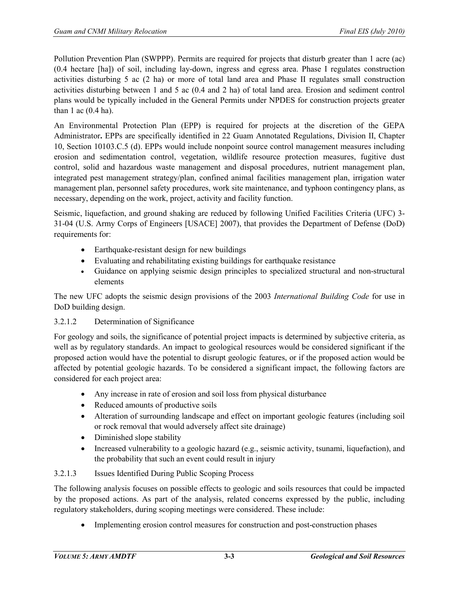Pollution Prevention Plan (SWPPP). Permits are required for projects that disturb greater than 1 acre (ac) (0.4 hectare [ha]) of soil, including lay-down, ingress and egress area. Phase I regulates construction activities disturbing 5 ac (2 ha) or more of total land area and Phase II regulates small construction activities disturbing between 1 and 5 ac (0.4 and 2 ha) of total land area. Erosion and sediment control plans would be typically included in the General Permits under NPDES for construction projects greater than 1 ac  $(0.4$  ha).

An Environmental Protection Plan (EPP) is required for projects at the discretion of the GEPA Administrator**.** EPPs are specifically identified in 22 Guam Annotated Regulations, Division II, Chapter 10, Section 10103.C.5 (d). EPPs would include nonpoint source control management measures including erosion and sedimentation control, vegetation, wildlife resource protection measures, fugitive dust control, solid and hazardous waste management and disposal procedures, nutrient management plan, integrated pest management strategy/plan, confined animal facilities management plan, irrigation water management plan, personnel safety procedures, work site maintenance, and typhoon contingency plans, as necessary, depending on the work, project, activity and facility function.

Seismic, liquefaction, and ground shaking are reduced by following Unified Facilities Criteria (UFC) 3- 31-04 (U.S. Army Corps of Engineers [USACE] 2007), that provides the Department of Defense (DoD) requirements for:

- Earthquake-resistant design for new buildings
- Evaluating and rehabilitating existing buildings for earthquake resistance
- Guidance on applying seismic design principles to specialized structural and non-structural elements

The new UFC adopts the seismic design provisions of the 2003 *International Building Code* for use in DoD building design.

# 3.2.1.2 Determination of Significance

For geology and soils, the significance of potential project impacts is determined by subjective criteria, as well as by regulatory standards. An impact to geological resources would be considered significant if the proposed action would have the potential to disrupt geologic features, or if the proposed action would be affected by potential geologic hazards. To be considered a significant impact, the following factors are considered for each project area:

- Any increase in rate of erosion and soil loss from physical disturbance
- Reduced amounts of productive soils
- Alteration of surrounding landscape and effect on important geologic features (including soil or rock removal that would adversely affect site drainage)
- Diminished slope stability
- Increased vulnerability to a geologic hazard (e.g., seismic activity, tsunami, liquefaction), and the probability that such an event could result in injury

# 3.2.1.3 Issues Identified During Public Scoping Process

The following analysis focuses on possible effects to geologic and soils resources that could be impacted by the proposed actions. As part of the analysis, related concerns expressed by the public, including regulatory stakeholders, during scoping meetings were considered. These include:

• Implementing erosion control measures for construction and post-construction phases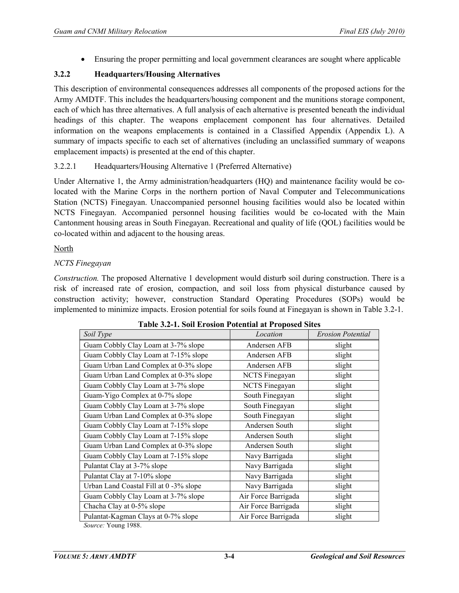• Ensuring the proper permitting and local government clearances are sought where applicable

# **3.2.2 Headquarters/Housing Alternatives**

This description of environmental consequences addresses all components of the proposed actions for the Army AMDTF. This includes the headquarters/housing component and the munitions storage component, each of which has three alternatives. A full analysis of each alternative is presented beneath the individual headings of this chapter. The weapons emplacement component has four alternatives. Detailed information on the weapons emplacements is contained in a Classified Appendix (Appendix L). A summary of impacts specific to each set of alternatives (including an unclassified summary of weapons emplacement impacts) is presented at the end of this chapter.

# 3.2.2.1 Headquarters/Housing Alternative 1 (Preferred Alternative)

Under Alternative 1, the Army administration/headquarters (HQ) and maintenance facility would be colocated with the Marine Corps in the northern portion of Naval Computer and Telecommunications Station (NCTS) Finegayan. Unaccompanied personnel housing facilities would also be located within NCTS Finegayan. Accompanied personnel housing facilities would be co-located with the Main Cantonment housing areas in South Finegayan. Recreational and quality of life (QOL) facilities would be co-located within and adjacent to the housing areas.

#### North

# *NCTS Finegayan*

*Construction.* The proposed Alternative 1 development would disturb soil during construction. There is a risk of increased rate of erosion, compaction, and soil loss from physical disturbance caused by construction activity; however, construction Standard Operating Procedures (SOPs) would be implemented to minimize impacts. Erosion potential for soils found at Finegayan is shown in Table 3.2-1.

| Soil Type                                                                                                                                                                                                                                                                                                                                                                 | Location              | <b>Erosion Potential</b> |
|---------------------------------------------------------------------------------------------------------------------------------------------------------------------------------------------------------------------------------------------------------------------------------------------------------------------------------------------------------------------------|-----------------------|--------------------------|
| Guam Cobbly Clay Loam at 3-7% slope                                                                                                                                                                                                                                                                                                                                       | Andersen AFB          | slight                   |
| Guam Cobbly Clay Loam at 7-15% slope                                                                                                                                                                                                                                                                                                                                      | Andersen AFB          | slight                   |
| Guam Urban Land Complex at 0-3% slope                                                                                                                                                                                                                                                                                                                                     | Andersen AFB          | slight                   |
| Guam Urban Land Complex at 0-3% slope                                                                                                                                                                                                                                                                                                                                     | <b>NCTS</b> Finegayan | slight                   |
| Guam Cobbly Clay Loam at 3-7% slope                                                                                                                                                                                                                                                                                                                                       | <b>NCTS</b> Finegayan | slight                   |
| Guam-Yigo Complex at 0-7% slope                                                                                                                                                                                                                                                                                                                                           | South Finegayan       | slight                   |
| Guam Cobbly Clay Loam at 3-7% slope                                                                                                                                                                                                                                                                                                                                       | South Finegayan       | slight                   |
| Guam Urban Land Complex at 0-3% slope                                                                                                                                                                                                                                                                                                                                     | South Finegayan       | slight                   |
| Guam Cobbly Clay Loam at 7-15% slope                                                                                                                                                                                                                                                                                                                                      | Andersen South        | slight                   |
| Guam Cobbly Clay Loam at 7-15% slope                                                                                                                                                                                                                                                                                                                                      | Andersen South        | slight                   |
| Guam Urban Land Complex at 0-3% slope                                                                                                                                                                                                                                                                                                                                     | Andersen South        | slight                   |
| Guam Cobbly Clay Loam at 7-15% slope                                                                                                                                                                                                                                                                                                                                      | Navy Barrigada        | slight                   |
| Pulantat Clay at 3-7% slope                                                                                                                                                                                                                                                                                                                                               | Navy Barrigada        | slight                   |
| Pulantat Clay at 7-10% slope                                                                                                                                                                                                                                                                                                                                              | Navy Barrigada        | slight                   |
| Urban Land Coastal Fill at 0 -3% slope                                                                                                                                                                                                                                                                                                                                    | Navy Barrigada        | slight                   |
| Guam Cobbly Clay Loam at 3-7% slope                                                                                                                                                                                                                                                                                                                                       | Air Force Barrigada   | slight                   |
| Chacha Clay at 0-5% slope                                                                                                                                                                                                                                                                                                                                                 | Air Force Barrigada   | slight                   |
| Pulantat-Kagman Clays at 0-7% slope<br>$\mathbf{v}$ $\mathbf{v}$ $\mathbf{v}$ $\mathbf{v}$ $\mathbf{v}$ $\mathbf{v}$ $\mathbf{v}$ $\mathbf{v}$ $\mathbf{v}$ $\mathbf{v}$ $\mathbf{v}$ $\mathbf{v}$ $\mathbf{v}$ $\mathbf{v}$ $\mathbf{v}$ $\mathbf{v}$ $\mathbf{v}$ $\mathbf{v}$ $\mathbf{v}$ $\mathbf{v}$ $\mathbf{v}$ $\mathbf{v}$ $\mathbf{v}$ $\mathbf{v}$ $\mathbf{$ | Air Force Barrigada   | slight                   |

**Table 3.2-1. Soil Erosion Potential at Proposed Sites**

*Source:* Young 1988.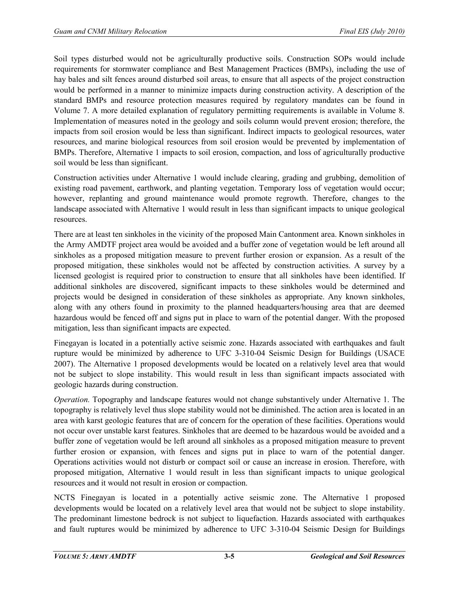Soil types disturbed would not be agriculturally productive soils. Construction SOPs would include requirements for stormwater compliance and Best Management Practices (BMPs), including the use of hay bales and silt fences around disturbed soil areas, to ensure that all aspects of the project construction would be performed in a manner to minimize impacts during construction activity. A description of the standard BMPs and resource protection measures required by regulatory mandates can be found in Volume 7. A more detailed explanation of regulatory permitting requirements is available in Volume 8. Implementation of measures noted in the geology and soils column would prevent erosion; therefore, the impacts from soil erosion would be less than significant. Indirect impacts to geological resources, water resources, and marine biological resources from soil erosion would be prevented by implementation of BMPs. Therefore, Alternative 1 impacts to soil erosion, compaction, and loss of agriculturally productive soil would be less than significant.

Construction activities under Alternative 1 would include clearing, grading and grubbing, demolition of existing road pavement, earthwork, and planting vegetation. Temporary loss of vegetation would occur; however, replanting and ground maintenance would promote regrowth. Therefore, changes to the landscape associated with Alternative 1 would result in less than significant impacts to unique geological resources.

There are at least ten sinkholes in the vicinity of the proposed Main Cantonment area. Known sinkholes in the Army AMDTF project area would be avoided and a buffer zone of vegetation would be left around all sinkholes as a proposed mitigation measure to prevent further erosion or expansion. As a result of the proposed mitigation, these sinkholes would not be affected by construction activities. A survey by a licensed geologist is required prior to construction to ensure that all sinkholes have been identified. If additional sinkholes are discovered, significant impacts to these sinkholes would be determined and projects would be designed in consideration of these sinkholes as appropriate. Any known sinkholes, along with any others found in proximity to the planned headquarters/housing area that are deemed hazardous would be fenced off and signs put in place to warn of the potential danger. With the proposed mitigation, less than significant impacts are expected.

Finegayan is located in a potentially active seismic zone. Hazards associated with earthquakes and fault rupture would be minimized by adherence to UFC 3-310-04 Seismic Design for Buildings (USACE 2007). The Alternative 1 proposed developments would be located on a relatively level area that would not be subject to slope instability. This would result in less than significant impacts associated with geologic hazards during construction.

*Operation.* Topography and landscape features would not change substantively under Alternative 1. The topography is relatively level thus slope stability would not be diminished. The action area is located in an area with karst geologic features that are of concern for the operation of these facilities. Operations would not occur over unstable karst features. Sinkholes that are deemed to be hazardous would be avoided and a buffer zone of vegetation would be left around all sinkholes as a proposed mitigation measure to prevent further erosion or expansion, with fences and signs put in place to warn of the potential danger. Operations activities would not disturb or compact soil or cause an increase in erosion. Therefore, with proposed mitigation, Alternative 1 would result in less than significant impacts to unique geological resources and it would not result in erosion or compaction.

NCTS Finegayan is located in a potentially active seismic zone. The Alternative 1 proposed developments would be located on a relatively level area that would not be subject to slope instability. The predominant limestone bedrock is not subject to liquefaction. Hazards associated with earthquakes and fault ruptures would be minimized by adherence to UFC 3-310-04 Seismic Design for Buildings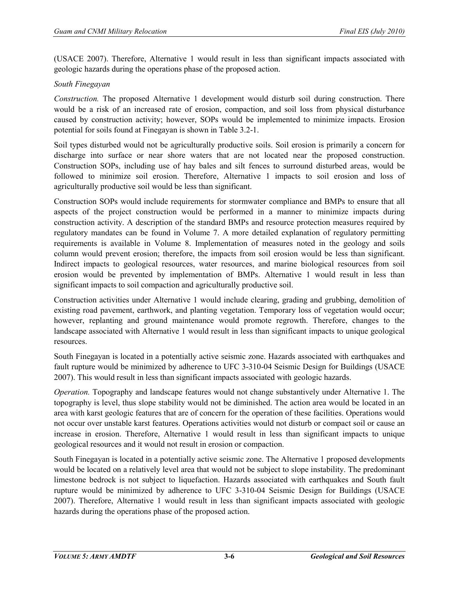(USACE 2007). Therefore, Alternative 1 would result in less than significant impacts associated with geologic hazards during the operations phase of the proposed action.

# *South Finegayan*

*Construction.* The proposed Alternative 1 development would disturb soil during construction. There would be a risk of an increased rate of erosion, compaction, and soil loss from physical disturbance caused by construction activity; however, SOPs would be implemented to minimize impacts. Erosion potential for soils found at Finegayan is shown in Table 3.2-1.

Soil types disturbed would not be agriculturally productive soils. Soil erosion is primarily a concern for discharge into surface or near shore waters that are not located near the proposed construction. Construction SOPs, including use of hay bales and silt fences to surround disturbed areas, would be followed to minimize soil erosion. Therefore, Alternative 1 impacts to soil erosion and loss of agriculturally productive soil would be less than significant.

Construction SOPs would include requirements for stormwater compliance and BMPs to ensure that all aspects of the project construction would be performed in a manner to minimize impacts during construction activity. A description of the standard BMPs and resource protection measures required by regulatory mandates can be found in Volume 7. A more detailed explanation of regulatory permitting requirements is available in Volume 8. Implementation of measures noted in the geology and soils column would prevent erosion; therefore, the impacts from soil erosion would be less than significant. Indirect impacts to geological resources, water resources, and marine biological resources from soil erosion would be prevented by implementation of BMPs. Alternative 1 would result in less than significant impacts to soil compaction and agriculturally productive soil.

Construction activities under Alternative 1 would include clearing, grading and grubbing, demolition of existing road pavement, earthwork, and planting vegetation. Temporary loss of vegetation would occur; however, replanting and ground maintenance would promote regrowth. Therefore, changes to the landscape associated with Alternative 1 would result in less than significant impacts to unique geological resources.

South Finegayan is located in a potentially active seismic zone. Hazards associated with earthquakes and fault rupture would be minimized by adherence to UFC 3-310-04 Seismic Design for Buildings (USACE 2007). This would result in less than significant impacts associated with geologic hazards.

*Operation.* Topography and landscape features would not change substantively under Alternative 1. The topography is level, thus slope stability would not be diminished. The action area would be located in an area with karst geologic features that are of concern for the operation of these facilities. Operations would not occur over unstable karst features. Operations activities would not disturb or compact soil or cause an increase in erosion. Therefore, Alternative 1 would result in less than significant impacts to unique geological resources and it would not result in erosion or compaction.

South Finegayan is located in a potentially active seismic zone. The Alternative 1 proposed developments would be located on a relatively level area that would not be subject to slope instability. The predominant limestone bedrock is not subject to liquefaction. Hazards associated with earthquakes and South fault rupture would be minimized by adherence to UFC 3-310-04 Seismic Design for Buildings (USACE 2007). Therefore, Alternative 1 would result in less than significant impacts associated with geologic hazards during the operations phase of the proposed action.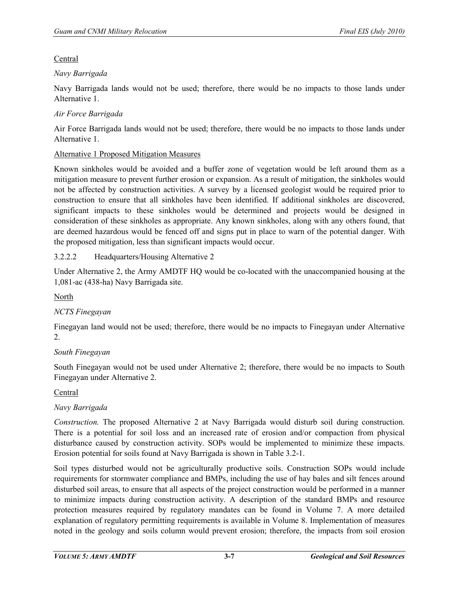# Central

# *Navy Barrigada*

Navy Barrigada lands would not be used; therefore, there would be no impacts to those lands under Alternative 1.

# *Air Force Barrigada*

Air Force Barrigada lands would not be used; therefore, there would be no impacts to those lands under Alternative 1.

# Alternative 1 Proposed Mitigation Measures

Known sinkholes would be avoided and a buffer zone of vegetation would be left around them as a mitigation measure to prevent further erosion or expansion. As a result of mitigation, the sinkholes would not be affected by construction activities. A survey by a licensed geologist would be required prior to construction to ensure that all sinkholes have been identified. If additional sinkholes are discovered, significant impacts to these sinkholes would be determined and projects would be designed in consideration of these sinkholes as appropriate. Any known sinkholes, along with any others found, that are deemed hazardous would be fenced off and signs put in place to warn of the potential danger. With the proposed mitigation, less than significant impacts would occur.

# 3.2.2.2 Headquarters/Housing Alternative 2

Under Alternative 2, the Army AMDTF HQ would be co-located with the unaccompanied housing at the 1,081-ac (438-ha) Navy Barrigada site.

# North

# *NCTS Finegayan*

Finegayan land would not be used; therefore, there would be no impacts to Finegayan under Alternative 2.

# *South Finegayan*

South Finegayan would not be used under Alternative 2; therefore, there would be no impacts to South Finegayan under Alternative 2.

#### Central

# *Navy Barrigada*

*Construction.* The proposed Alternative 2 at Navy Barrigada would disturb soil during construction. There is a potential for soil loss and an increased rate of erosion and/or compaction from physical disturbance caused by construction activity. SOPs would be implemented to minimize these impacts. Erosion potential for soils found at Navy Barrigada is shown in Table 3.2-1.

Soil types disturbed would not be agriculturally productive soils. Construction SOPs would include requirements for stormwater compliance and BMPs, including the use of hay bales and silt fences around disturbed soil areas, to ensure that all aspects of the project construction would be performed in a manner to minimize impacts during construction activity. A description of the standard BMPs and resource protection measures required by regulatory mandates can be found in Volume 7. A more detailed explanation of regulatory permitting requirements is available in Volume 8. Implementation of measures noted in the geology and soils column would prevent erosion; therefore, the impacts from soil erosion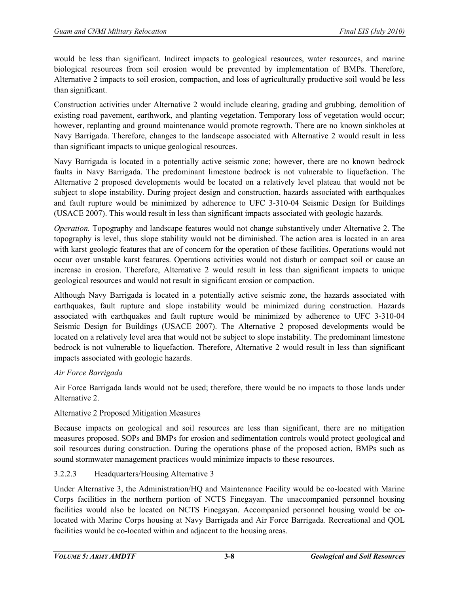would be less than significant. Indirect impacts to geological resources, water resources, and marine biological resources from soil erosion would be prevented by implementation of BMPs. Therefore, Alternative 2 impacts to soil erosion, compaction, and loss of agriculturally productive soil would be less than significant.

Construction activities under Alternative 2 would include clearing, grading and grubbing, demolition of existing road pavement, earthwork, and planting vegetation. Temporary loss of vegetation would occur; however, replanting and ground maintenance would promote regrowth. There are no known sinkholes at Navy Barrigada. Therefore, changes to the landscape associated with Alternative 2 would result in less than significant impacts to unique geological resources.

Navy Barrigada is located in a potentially active seismic zone; however, there are no known bedrock faults in Navy Barrigada. The predominant limestone bedrock is not vulnerable to liquefaction. The Alternative 2 proposed developments would be located on a relatively level plateau that would not be subject to slope instability. During project design and construction, hazards associated with earthquakes and fault rupture would be minimized by adherence to UFC 3-310-04 Seismic Design for Buildings (USACE 2007). This would result in less than significant impacts associated with geologic hazards.

*Operation.* Topography and landscape features would not change substantively under Alternative 2. The topography is level, thus slope stability would not be diminished. The action area is located in an area with karst geologic features that are of concern for the operation of these facilities. Operations would not occur over unstable karst features. Operations activities would not disturb or compact soil or cause an increase in erosion. Therefore, Alternative 2 would result in less than significant impacts to unique geological resources and would not result in significant erosion or compaction.

Although Navy Barrigada is located in a potentially active seismic zone, the hazards associated with earthquakes, fault rupture and slope instability would be minimized during construction. Hazards associated with earthquakes and fault rupture would be minimized by adherence to UFC 3-310-04 Seismic Design for Buildings (USACE 2007). The Alternative 2 proposed developments would be located on a relatively level area that would not be subject to slope instability. The predominant limestone bedrock is not vulnerable to liquefaction. Therefore, Alternative 2 would result in less than significant impacts associated with geologic hazards.

# *Air Force Barrigada*

Air Force Barrigada lands would not be used; therefore, there would be no impacts to those lands under Alternative 2.

#### Alternative 2 Proposed Mitigation Measures

Because impacts on geological and soil resources are less than significant, there are no mitigation measures proposed. SOPs and BMPs for erosion and sedimentation controls would protect geological and soil resources during construction. During the operations phase of the proposed action, BMPs such as sound stormwater management practices would minimize impacts to these resources.

# 3.2.2.3 Headquarters/Housing Alternative 3

Under Alternative 3, the Administration/HQ and Maintenance Facility would be co-located with Marine Corps facilities in the northern portion of NCTS Finegayan. The unaccompanied personnel housing facilities would also be located on NCTS Finegayan. Accompanied personnel housing would be colocated with Marine Corps housing at Navy Barrigada and Air Force Barrigada. Recreational and QOL facilities would be co-located within and adjacent to the housing areas.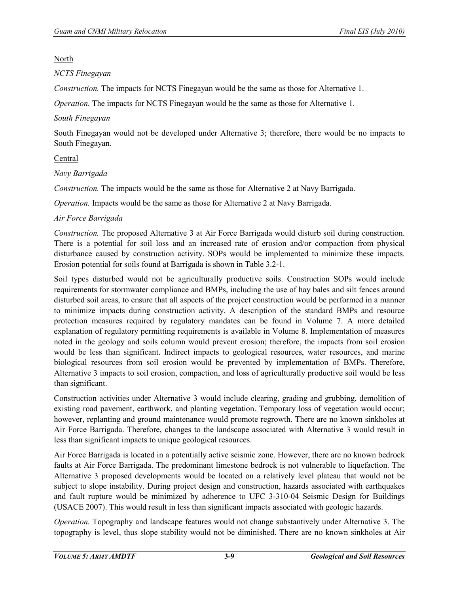#### North

# *NCTS Finegayan*

*Construction.* The impacts for NCTS Finegayan would be the same as those for Alternative 1.

*Operation.* The impacts for NCTS Finegayan would be the same as those for Alternative 1.

# *South Finegayan*

South Finegayan would not be developed under Alternative 3; therefore, there would be no impacts to South Finegayan.

# Central

# *Navy Barrigada*

*Construction.* The impacts would be the same as those for Alternative 2 at Navy Barrigada.

*Operation.* Impacts would be the same as those for Alternative 2 at Navy Barrigada.

# *Air Force Barrigada*

*Construction.* The proposed Alternative 3 at Air Force Barrigada would disturb soil during construction. There is a potential for soil loss and an increased rate of erosion and/or compaction from physical disturbance caused by construction activity. SOPs would be implemented to minimize these impacts. Erosion potential for soils found at Barrigada is shown in Table 3.2-1.

Soil types disturbed would not be agriculturally productive soils. Construction SOPs would include requirements for stormwater compliance and BMPs, including the use of hay bales and silt fences around disturbed soil areas, to ensure that all aspects of the project construction would be performed in a manner to minimize impacts during construction activity. A description of the standard BMPs and resource protection measures required by regulatory mandates can be found in Volume 7. A more detailed explanation of regulatory permitting requirements is available in Volume 8. Implementation of measures noted in the geology and soils column would prevent erosion; therefore, the impacts from soil erosion would be less than significant. Indirect impacts to geological resources, water resources, and marine biological resources from soil erosion would be prevented by implementation of BMPs. Therefore, Alternative 3 impacts to soil erosion, compaction, and loss of agriculturally productive soil would be less than significant.

Construction activities under Alternative 3 would include clearing, grading and grubbing, demolition of existing road pavement, earthwork, and planting vegetation. Temporary loss of vegetation would occur; however, replanting and ground maintenance would promote regrowth. There are no known sinkholes at Air Force Barrigada. Therefore, changes to the landscape associated with Alternative 3 would result in less than significant impacts to unique geological resources.

Air Force Barrigada is located in a potentially active seismic zone. However, there are no known bedrock faults at Air Force Barrigada. The predominant limestone bedrock is not vulnerable to liquefaction. The Alternative 3 proposed developments would be located on a relatively level plateau that would not be subject to slope instability. During project design and construction, hazards associated with earthquakes and fault rupture would be minimized by adherence to UFC 3-310-04 Seismic Design for Buildings (USACE 2007). This would result in less than significant impacts associated with geologic hazards.

*Operation.* Topography and landscape features would not change substantively under Alternative 3. The topography is level, thus slope stability would not be diminished. There are no known sinkholes at Air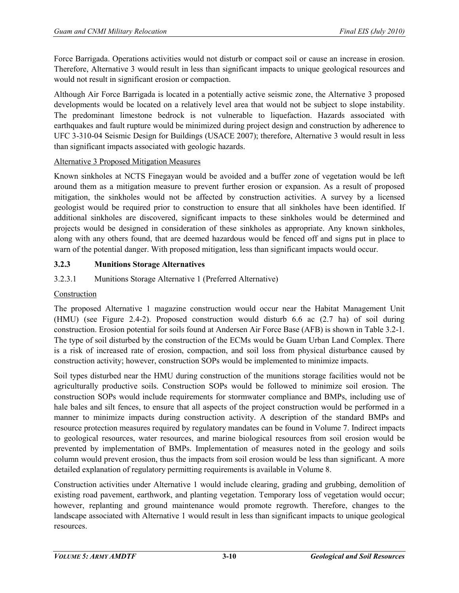Force Barrigada. Operations activities would not disturb or compact soil or cause an increase in erosion. Therefore, Alternative 3 would result in less than significant impacts to unique geological resources and would not result in significant erosion or compaction.

Although Air Force Barrigada is located in a potentially active seismic zone, the Alternative 3 proposed developments would be located on a relatively level area that would not be subject to slope instability. The predominant limestone bedrock is not vulnerable to liquefaction. Hazards associated with earthquakes and fault rupture would be minimized during project design and construction by adherence to UFC 3-310-04 Seismic Design for Buildings (USACE 2007); therefore, Alternative 3 would result in less than significant impacts associated with geologic hazards.

#### Alternative 3 Proposed Mitigation Measures

Known sinkholes at NCTS Finegayan would be avoided and a buffer zone of vegetation would be left around them as a mitigation measure to prevent further erosion or expansion. As a result of proposed mitigation, the sinkholes would not be affected by construction activities. A survey by a licensed geologist would be required prior to construction to ensure that all sinkholes have been identified. If additional sinkholes are discovered, significant impacts to these sinkholes would be determined and projects would be designed in consideration of these sinkholes as appropriate. Any known sinkholes, along with any others found, that are deemed hazardous would be fenced off and signs put in place to warn of the potential danger. With proposed mitigation, less than significant impacts would occur.

# **3.2.3 Munitions Storage Alternatives**

# 3.2.3.1 Munitions Storage Alternative 1 (Preferred Alternative)

# Construction

The proposed Alternative 1 magazine construction would occur near the Habitat Management Unit (HMU) (see Figure 2.4-2). Proposed construction would disturb 6.6 ac (2.7 ha) of soil during construction. Erosion potential for soils found at Andersen Air Force Base (AFB) is shown in Table 3.2-1. The type of soil disturbed by the construction of the ECMs would be Guam Urban Land Complex. There is a risk of increased rate of erosion, compaction, and soil loss from physical disturbance caused by construction activity; however, construction SOPs would be implemented to minimize impacts.

Soil types disturbed near the HMU during construction of the munitions storage facilities would not be agriculturally productive soils. Construction SOPs would be followed to minimize soil erosion. The construction SOPs would include requirements for stormwater compliance and BMPs, including use of hale bales and silt fences, to ensure that all aspects of the project construction would be performed in a manner to minimize impacts during construction activity. A description of the standard BMPs and resource protection measures required by regulatory mandates can be found in Volume 7. Indirect impacts to geological resources, water resources, and marine biological resources from soil erosion would be prevented by implementation of BMPs. Implementation of measures noted in the geology and soils column would prevent erosion, thus the impacts from soil erosion would be less than significant. A more detailed explanation of regulatory permitting requirements is available in Volume 8.

Construction activities under Alternative 1 would include clearing, grading and grubbing, demolition of existing road pavement, earthwork, and planting vegetation. Temporary loss of vegetation would occur; however, replanting and ground maintenance would promote regrowth. Therefore, changes to the landscape associated with Alternative 1 would result in less than significant impacts to unique geological resources.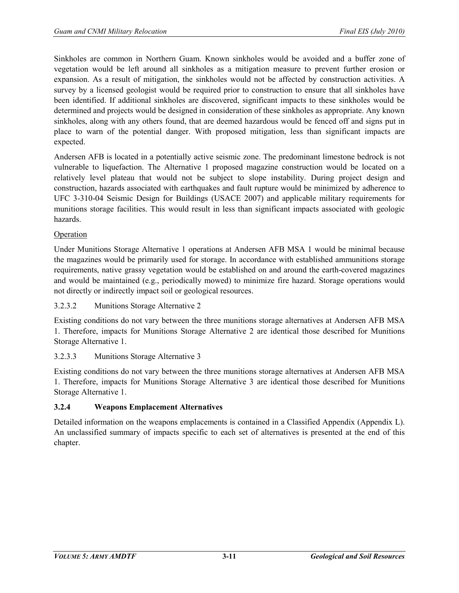Sinkholes are common in Northern Guam. Known sinkholes would be avoided and a buffer zone of vegetation would be left around all sinkholes as a mitigation measure to prevent further erosion or expansion. As a result of mitigation, the sinkholes would not be affected by construction activities. A survey by a licensed geologist would be required prior to construction to ensure that all sinkholes have been identified. If additional sinkholes are discovered, significant impacts to these sinkholes would be determined and projects would be designed in consideration of these sinkholes as appropriate. Any known sinkholes, along with any others found, that are deemed hazardous would be fenced off and signs put in place to warn of the potential danger. With proposed mitigation, less than significant impacts are expected.

Andersen AFB is located in a potentially active seismic zone. The predominant limestone bedrock is not vulnerable to liquefaction. The Alternative 1 proposed magazine construction would be located on a relatively level plateau that would not be subject to slope instability. During project design and construction, hazards associated with earthquakes and fault rupture would be minimized by adherence to UFC 3-310-04 Seismic Design for Buildings (USACE 2007) and applicable military requirements for munitions storage facilities. This would result in less than significant impacts associated with geologic hazards.

# Operation

Under Munitions Storage Alternative 1 operations at Andersen AFB MSA 1 would be minimal because the magazines would be primarily used for storage. In accordance with established ammunitions storage requirements, native grassy vegetation would be established on and around the earth-covered magazines and would be maintained (e.g., periodically mowed) to minimize fire hazard. Storage operations would not directly or indirectly impact soil or geological resources.

#### 3.2.3.2 Munitions Storage Alternative 2

Existing conditions do not vary between the three munitions storage alternatives at Andersen AFB MSA 1. Therefore, impacts for Munitions Storage Alternative 2 are identical those described for Munitions Storage Alternative 1.

#### 3.2.3.3 Munitions Storage Alternative 3

Existing conditions do not vary between the three munitions storage alternatives at Andersen AFB MSA 1. Therefore, impacts for Munitions Storage Alternative 3 are identical those described for Munitions Storage Alternative 1.

#### **3.2.4 Weapons Emplacement Alternatives**

Detailed information on the weapons emplacements is contained in a Classified Appendix (Appendix L). An unclassified summary of impacts specific to each set of alternatives is presented at the end of this chapter.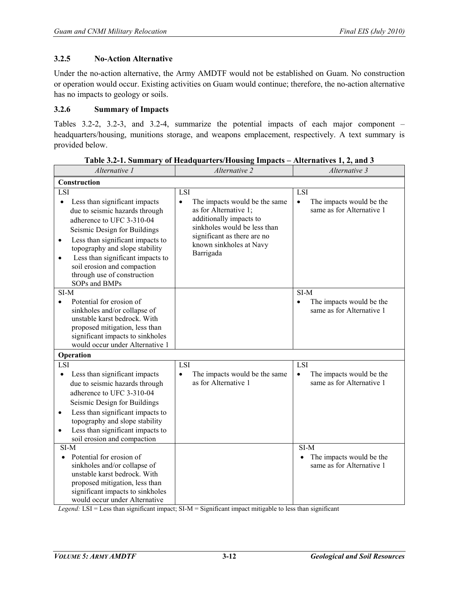#### **3.2.5 No-Action Alternative**

Under the no-action alternative, the Army AMDTF would not be established on Guam. No construction or operation would occur. Existing activities on Guam would continue; therefore, the no-action alternative has no impacts to geology or soils.

#### **3.2.6 Summary of Impacts**

Tables 3.2-2, 3.2-3, and 3.2-4, summarize the potential impacts of each major component – headquarters/housing, munitions storage, and weapons emplacement, respectively. A text summary is provided below.

| Alternative 1                                                                                                                                                                                                                                                                                                                                                       | Alternative 2                                                                                                                                                                                                | Alternative 3                                                                    |  |  |
|---------------------------------------------------------------------------------------------------------------------------------------------------------------------------------------------------------------------------------------------------------------------------------------------------------------------------------------------------------------------|--------------------------------------------------------------------------------------------------------------------------------------------------------------------------------------------------------------|----------------------------------------------------------------------------------|--|--|
| Construction                                                                                                                                                                                                                                                                                                                                                        |                                                                                                                                                                                                              |                                                                                  |  |  |
| LSI<br>Less than significant impacts<br>$\bullet$<br>due to seismic hazards through<br>adherence to UFC 3-310-04<br>Seismic Design for Buildings<br>Less than significant impacts to<br>$\bullet$<br>topography and slope stability<br>Less than significant impacts to<br>$\bullet$<br>soil erosion and compaction<br>through use of construction<br>SOPs and BMPs | LSI<br>The impacts would be the same<br>$\bullet$<br>as for Alternative 1;<br>additionally impacts to<br>sinkholes would be less than<br>significant as there are no<br>known sinkholes at Navy<br>Barrigada | <b>LSI</b><br>The impacts would be the<br>$\bullet$<br>same as for Alternative 1 |  |  |
| SI-M<br>Potential for erosion of<br>$\bullet$<br>sinkholes and/or collapse of<br>unstable karst bedrock. With<br>proposed mitigation, less than<br>significant impacts to sinkholes<br>would occur under Alternative 1<br>Operation                                                                                                                                 |                                                                                                                                                                                                              | SI-M<br>The impacts would be the<br>$\bullet$<br>same as for Alternative 1       |  |  |
| LSI                                                                                                                                                                                                                                                                                                                                                                 | LSI                                                                                                                                                                                                          | LSI                                                                              |  |  |
| Less than significant impacts<br>$\bullet$<br>due to seismic hazards through<br>adherence to UFC 3-310-04<br>Seismic Design for Buildings<br>Less than significant impacts to<br>$\bullet$<br>topography and slope stability<br>Less than significant impacts to<br>$\bullet$<br>soil erosion and compaction                                                        | The impacts would be the same<br>$\bullet$<br>as for Alternative 1                                                                                                                                           | The impacts would be the<br>$\bullet$<br>same as for Alternative 1               |  |  |
| SI-M<br>Potential for erosion of<br>sinkholes and/or collapse of<br>unstable karst bedrock. With<br>proposed mitigation, less than<br>significant impacts to sinkholes<br>would occur under Alternative                                                                                                                                                             |                                                                                                                                                                                                              | SI-M<br>The impacts would be the<br>same as for Alternative 1                    |  |  |

**Table 3.2-1. Summary of Headquarters/Housing Impacts – Alternatives 1, 2, and 3** 

*Legend:* LSI = Less than significant impact; SI-M = Significant impact mitigable to less than significant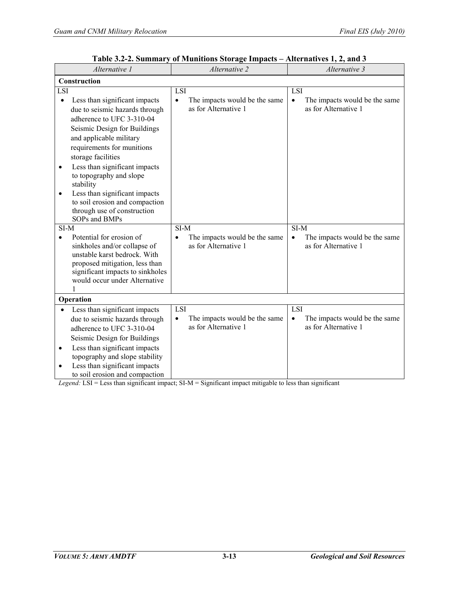| Alternative 1                                                                                                                                                                                                                                                                                                                                                                                                                                                     | Alternative 2                                                                    | Alternative 3                                                                    |  |
|-------------------------------------------------------------------------------------------------------------------------------------------------------------------------------------------------------------------------------------------------------------------------------------------------------------------------------------------------------------------------------------------------------------------------------------------------------------------|----------------------------------------------------------------------------------|----------------------------------------------------------------------------------|--|
| Construction                                                                                                                                                                                                                                                                                                                                                                                                                                                      |                                                                                  |                                                                                  |  |
| LS <sub>I</sub><br>Less than significant impacts<br>$\bullet$<br>due to seismic hazards through<br>adherence to UFC 3-310-04<br>Seismic Design for Buildings<br>and applicable military<br>requirements for munitions<br>storage facilities<br>Less than significant impacts<br>$\bullet$<br>to topography and slope<br>stability<br>Less than significant impacts<br>$\bullet$<br>to soil erosion and compaction<br>through use of construction<br>SOPs and BMPs | <b>LSI</b><br>The impacts would be the same<br>$\bullet$<br>as for Alternative 1 | LSI<br>The impacts would be the same<br>$\bullet$<br>as for Alternative 1        |  |
| $SI-M$<br>Potential for erosion of<br>$\bullet$<br>sinkholes and/or collapse of<br>unstable karst bedrock. With<br>proposed mitigation, less than<br>significant impacts to sinkholes<br>would occur under Alternative<br>1                                                                                                                                                                                                                                       | $SI-M$<br>The impacts would be the same<br>$\bullet$<br>as for Alternative 1     | $SI-M$<br>The impacts would be the same<br>$\bullet$<br>as for Alternative 1     |  |
| Operation                                                                                                                                                                                                                                                                                                                                                                                                                                                         |                                                                                  |                                                                                  |  |
| Less than significant impacts<br>due to seismic hazards through<br>adherence to UFC 3-310-04<br>Seismic Design for Buildings<br>Less than significant impacts<br>$\bullet$<br>topography and slope stability<br>Less than significant impacts<br>$\bullet$<br>to soil erosion and compaction                                                                                                                                                                      | <b>LSI</b><br>The impacts would be the same<br>$\bullet$<br>as for Alternative 1 | <b>LSI</b><br>The impacts would be the same<br>$\bullet$<br>as for Alternative 1 |  |

**Table 3.2-2. Summary of Munitions Storage Impacts – Alternatives 1, 2, and 3** 

*Legend:* LSI = Less than significant impact; SI-M = Significant impact mitigable to less than significant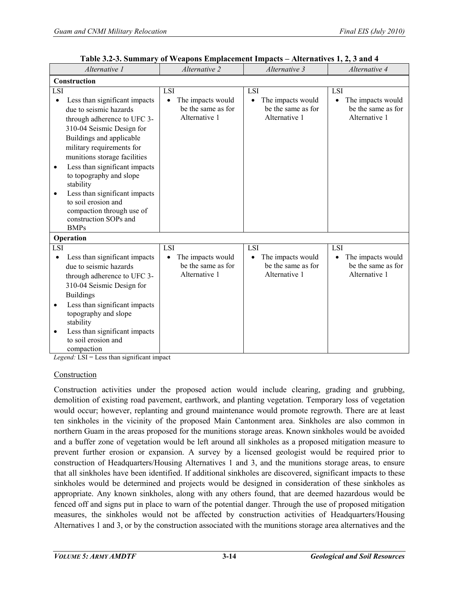| Alternative 1                                                                                                                                                                                                                                                                                                                                                                                                                      | Alternative 2                                                         | Alternative 3                                                         | Alternative 4                                                         |
|------------------------------------------------------------------------------------------------------------------------------------------------------------------------------------------------------------------------------------------------------------------------------------------------------------------------------------------------------------------------------------------------------------------------------------|-----------------------------------------------------------------------|-----------------------------------------------------------------------|-----------------------------------------------------------------------|
| Construction                                                                                                                                                                                                                                                                                                                                                                                                                       |                                                                       |                                                                       |                                                                       |
| LSI                                                                                                                                                                                                                                                                                                                                                                                                                                | LSI                                                                   | LSI                                                                   | LSI                                                                   |
| Less than significant impacts<br>$\bullet$<br>due to seismic hazards<br>through adherence to UFC 3-<br>310-04 Seismic Design for<br>Buildings and applicable<br>military requirements for<br>munitions storage facilities<br>Less than significant impacts<br>٠<br>to topography and slope<br>stability<br>Less than significant impacts<br>$\bullet$<br>to soil erosion and<br>compaction through use of<br>construction SOPs and | The impacts would<br>$\bullet$<br>be the same as for<br>Alternative 1 | The impacts would<br>$\bullet$<br>be the same as for<br>Alternative 1 | The impacts would<br>$\bullet$<br>be the same as for<br>Alternative 1 |
| <b>BMPs</b><br>Operation                                                                                                                                                                                                                                                                                                                                                                                                           |                                                                       |                                                                       |                                                                       |
| LSI                                                                                                                                                                                                                                                                                                                                                                                                                                | <b>LSI</b>                                                            | LSI                                                                   | LSI                                                                   |
| Less than significant impacts<br>due to seismic hazards<br>through adherence to UFC 3-<br>310-04 Seismic Design for<br><b>Buildings</b><br>Less than significant impacts<br>$\bullet$<br>topography and slope<br>stability<br>Less than significant impacts<br>$\bullet$<br>to soil erosion and<br>compaction                                                                                                                      | The impacts would<br>be the same as for<br>Alternative 1              | The impacts would<br>be the same as for<br>Alternative 1              | The impacts would<br>be the same as for<br>Alternative 1              |

**Table 3.2-3. Summary of Weapons Emplacement Impacts – Alternatives 1, 2, 3 and 4** 

*Legend:* LSI = Less than significant impact

#### Construction

Construction activities under the proposed action would include clearing, grading and grubbing, demolition of existing road pavement, earthwork, and planting vegetation. Temporary loss of vegetation would occur; however, replanting and ground maintenance would promote regrowth. There are at least ten sinkholes in the vicinity of the proposed Main Cantonment area. Sinkholes are also common in northern Guam in the areas proposed for the munitions storage areas. Known sinkholes would be avoided and a buffer zone of vegetation would be left around all sinkholes as a proposed mitigation measure to prevent further erosion or expansion. A survey by a licensed geologist would be required prior to construction of Headquarters/Housing Alternatives 1 and 3, and the munitions storage areas, to ensure that all sinkholes have been identified. If additional sinkholes are discovered, significant impacts to these sinkholes would be determined and projects would be designed in consideration of these sinkholes as appropriate. Any known sinkholes, along with any others found, that are deemed hazardous would be fenced off and signs put in place to warn of the potential danger. Through the use of proposed mitigation measures, the sinkholes would not be affected by construction activities of Headquarters/Housing Alternatives 1 and 3, or by the construction associated with the munitions storage area alternatives and the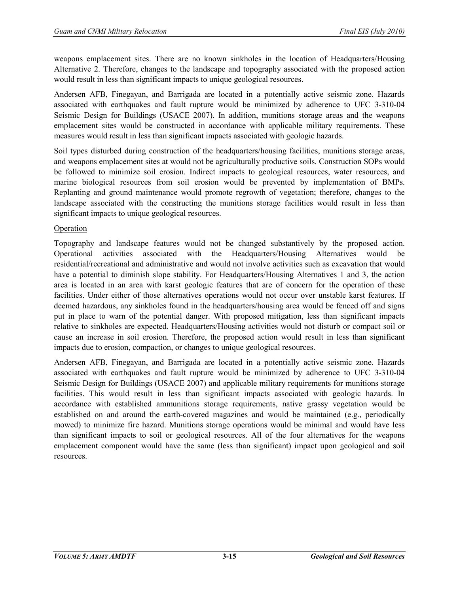weapons emplacement sites. There are no known sinkholes in the location of Headquarters/Housing Alternative 2. Therefore, changes to the landscape and topography associated with the proposed action would result in less than significant impacts to unique geological resources.

Andersen AFB, Finegayan, and Barrigada are located in a potentially active seismic zone. Hazards associated with earthquakes and fault rupture would be minimized by adherence to UFC 3-310-04 Seismic Design for Buildings (USACE 2007). In addition, munitions storage areas and the weapons emplacement sites would be constructed in accordance with applicable military requirements. These measures would result in less than significant impacts associated with geologic hazards.

Soil types disturbed during construction of the headquarters/housing facilities, munitions storage areas, and weapons emplacement sites at would not be agriculturally productive soils. Construction SOPs would be followed to minimize soil erosion. Indirect impacts to geological resources, water resources, and marine biological resources from soil erosion would be prevented by implementation of BMPs. Replanting and ground maintenance would promote regrowth of vegetation; therefore, changes to the landscape associated with the constructing the munitions storage facilities would result in less than significant impacts to unique geological resources.

#### **Operation**

Topography and landscape features would not be changed substantively by the proposed action. Operational activities associated with the Headquarters/Housing Alternatives would be residential/recreational and administrative and would not involve activities such as excavation that would have a potential to diminish slope stability. For Headquarters/Housing Alternatives 1 and 3, the action area is located in an area with karst geologic features that are of concern for the operation of these facilities. Under either of those alternatives operations would not occur over unstable karst features. If deemed hazardous, any sinkholes found in the headquarters/housing area would be fenced off and signs put in place to warn of the potential danger. With proposed mitigation, less than significant impacts relative to sinkholes are expected. Headquarters/Housing activities would not disturb or compact soil or cause an increase in soil erosion. Therefore, the proposed action would result in less than significant impacts due to erosion, compaction, or changes to unique geological resources.

Andersen AFB, Finegayan, and Barrigada are located in a potentially active seismic zone. Hazards associated with earthquakes and fault rupture would be minimized by adherence to UFC 3-310-04 Seismic Design for Buildings (USACE 2007) and applicable military requirements for munitions storage facilities. This would result in less than significant impacts associated with geologic hazards. In accordance with established ammunitions storage requirements, native grassy vegetation would be established on and around the earth-covered magazines and would be maintained (e.g., periodically mowed) to minimize fire hazard. Munitions storage operations would be minimal and would have less than significant impacts to soil or geological resources. All of the four alternatives for the weapons emplacement component would have the same (less than significant) impact upon geological and soil resources.